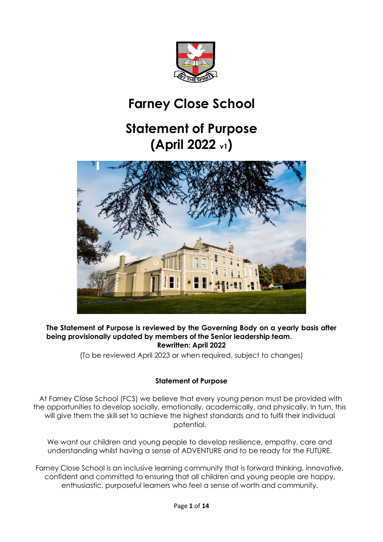

# **Farney Close School**

# **Statement of Purpose (April 2022 v1)**



#### **The Statement of Purpose is reviewed by the Governing Body on a yearly basis after being provisionally updated by members of the Senior leadership team. Rewritten: April 2022**

(To be reviewed April 2023 or when required, subject to changes)

# **Statement of Purpose**

At Farney Close School (FCS) we believe that every young person must be provided with the opportunities to develop socially, emotionally, academically, and physically. In turn, this will give them the skill set to achieve the highest standards and to fulfil their individual potential.

We want our children and young people to develop resilience, empathy, care and understanding whilst having a sense of ADVENTURE and to be ready for the FUTURE.

Farney Close School is an inclusive learning community that is forward thinking, innovative, confident and committed to ensuring that all children and young people are happy, enthusiastic, purposeful learners who feel a sense of worth and community.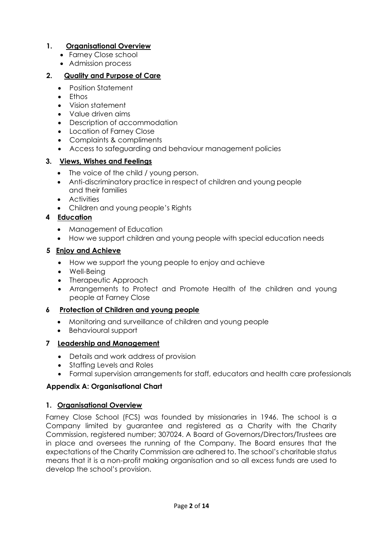# **1. Organisational Overview**

- Farney Close school
- Admission process

# **2. Quality and Purpose of Care**

- Position Statement
- Ethos
- Vision statement
- Value driven aims
- Description of accommodation
- Location of Farney Close
- Complaints & compliments
- Access to safeguarding and behaviour management policies

## **3. Views, Wishes and Feelings**

- The voice of the child / young person.
- Anti-discriminatory practice in respect of children and young people and their families
- Activities
- Children and young people's Rights

# **4 Education**

- Management of Education
- How we support children and young people with special education needs

## **5 Enjoy and Achieve**

- How we support the young people to enjoy and achieve
- Well-Being
- Therapeutic Approach
- Arrangements to Protect and Promote Health of the children and young people at Farney Close

#### **6 Protection of Children and young people**

- Monitoring and surveillance of children and young people
- Behavioural support

# **7 Leadership and Management**

- Details and work address of provision
- Staffing Levels and Roles
- Formal supervision arrangements for staff, educators and health care professionals

# **Appendix A: Organisational Chart**

#### **1. Organisational Overview**

Farney Close School (FCS) was founded by missionaries in 1946. The school is a Company limited by guarantee and registered as a Charity with the Charity Commission, registered number; 307024. A Board of Governors/Directors/Trustees are in place and oversees the running of the Company. The Board ensures that the expectations of the Charity Commission are adhered to. The school's charitable status means that it is a non-profit making organisation and so all excess funds are used to develop the school's provision.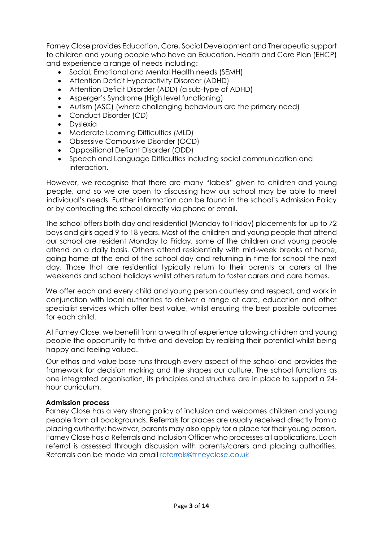Farney Close provides Education, Care, Social Development and Therapeutic support to children and young people who have an Education, Health and Care Plan (EHCP) and experience a range of needs including:

- Social, Emotional and Mental Health needs (SEMH)
- Attention Deficit Hyperactivity Disorder (ADHD)
- Attention Deficit Disorder (ADD) (a sub-type of ADHD)
- Asperger's Syndrome (High level functioning)
- Autism (ASC) (where challenging behaviours are the primary need)
- Conduct Disorder (CD)
- Dyslexia
- Moderate Learning Difficulties (MLD)
- Obsessive Compulsive Disorder (OCD)
- Oppositional Defiant Disorder (ODD)
- Speech and Language Difficulties including social communication and interaction.

However, we recognise that there are many "labels" given to children and young people, and so we are open to discussing how our school may be able to meet individual's needs. Further information can be found in the school's Admission Policy or by contacting the school directly via phone or email.

The school offers both day and residential (Monday to Friday) placements for up to 72 boys and girls aged 9 to 18 years. Most of the children and young people that attend our school are resident Monday to Friday, some of the children and young people attend on a daily basis. Others attend residentially with mid-week breaks at home, going home at the end of the school day and returning in time for school the next day. Those that are residential typically return to their parents or carers at the weekends and school holidays whilst others return to foster carers and care homes.

We offer each and every child and young person courtesy and respect, and work in conjunction with local authorities to deliver a range of care, education and other specialist services which offer best value, whilst ensuring the best possible outcomes for each child.

At Farney Close, we benefit from a wealth of experience allowing children and young people the opportunity to thrive and develop by realising their potential whilst being happy and feeling valued.

Our ethos and value base runs through every aspect of the school and provides the framework for decision making and the shapes our culture. The school functions as one integrated organisation, its principles and structure are in place to support a 24 hour curriculum.

#### **Admission process**

Farney Close has a very strong policy of inclusion and welcomes children and young people from all backgrounds. Referrals for places are usually received directly from a placing authority; however, parents may also apply for a place for their young person. Farney Close has a Referrals and Inclusion Officer who processes all applications. Each referral is assessed through discussion with parents/carers and placing authorities. Referrals can be made via email [referrals@frneyclose.co.uk](mailto:referrals@frneyclose.co.uk)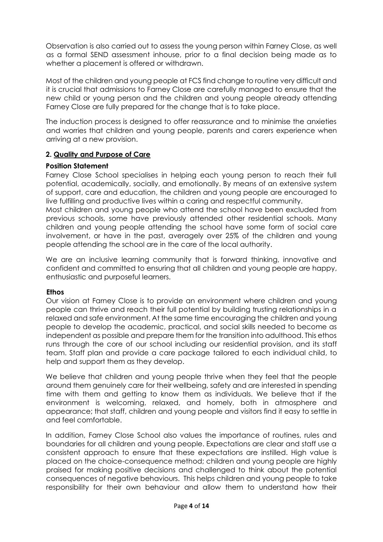Observation is also carried out to assess the young person within Farney Close, as well as a formal SEND assessment inhouse, prior to a final decision being made as to whether a placement is offered or withdrawn.

Most of the children and young people at FCS find change to routine very difficult and it is crucial that admissions to Farney Close are carefully managed to ensure that the new child or young person and the children and young people already attending Farney Close are fully prepared for the change that is to take place.

The induction process is designed to offer reassurance and to minimise the anxieties and worries that children and young people, parents and carers experience when arriving at a new provision.

#### **2. Quality and Purpose of Care**

#### **Position Statement**

Farney Close School specialises in helping each young person to reach their full potential, academically, socially, and emotionally. By means of an extensive system of support, care and education, the children and young people are encouraged to live fulfilling and productive lives within a caring and respectful community.

Most children and young people who attend the school have been excluded from previous schools, some have previously attended other residential schools. Many children and young people attending the school have some form of social care involvement, or have in the past, averagely over 25% of the children and young people attending the school are in the care of the local authority.

We are an inclusive learning community that is forward thinking, innovative and confident and committed to ensuring that all children and young people are happy, enthusiastic and purposeful learners.

#### **Ethos**

Our vision at Farney Close is to provide an environment where children and young people can thrive and reach their full potential by building trusting relationships in a relaxed and safe environment. At the same time encouraging the children and young people to develop the academic, practical, and social skills needed to become as independent as possible and prepare them for the transition into adulthood. This ethos runs through the core of our school including our residential provision, and its staff team. Staff plan and provide a care package tailored to each individual child, to help and support them as they develop.

We believe that children and young people thrive when they feel that the people around them genuinely care for their wellbeing, safety and are interested in spending time with them and getting to know them as individuals. We believe that if the environment is welcoming, relaxed, and homely, both in atmosphere and appearance; that staff, children and young people and visitors find it easy to settle in and feel comfortable.

In addition, Farney Close School also values the importance of routines, rules and boundaries for all children and young people. Expectations are clear and staff use a consistent approach to ensure that these expectations are instilled. High value is placed on the choice-consequence method; children and young people are highly praised for making positive decisions and challenged to think about the potential consequences of negative behaviours. This helps children and young people to take responsibility for their own behaviour and allow them to understand how their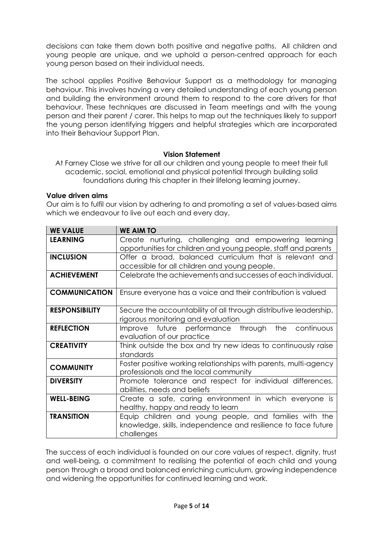decisions can take them down both positive and negative paths. All children and young people are unique, and we uphold a person-centred approach for each young person based on their individual needs.

The school applies Positive Behaviour Support as a methodology for managing behaviour. This involves having a very detailed understanding of each young person and building the environment around them to respond to the core drivers for that behaviour. These techniques are discussed in Team meetings and with the young person and their parent / carer. This helps to map out the techniques likely to support the young person identifying triggers and helpful strategies which are incorporated into their Behaviour Support Plan.

#### **Vision Statement**

At Farney Close we strive for all our children and young people to meet their full academic, social, emotional and physical potential through building solid foundations during this chapter in their lifelong learning journey.

#### **Value driven aims**

Our aim is to fulfil our vision by adhering to and promoting a set of values-based aims which we endeavour to live out each and every day.

| <b>WE VALUE</b>       | <b>WE AIM TO</b>                                                                                          |  |  |  |
|-----------------------|-----------------------------------------------------------------------------------------------------------|--|--|--|
| <b>LEARNING</b>       | Create nurturing, challenging and empowering learning                                                     |  |  |  |
|                       | opportunities for children and young people, staff and parents                                            |  |  |  |
| <b>INCLUSION</b>      | Offer a broad, balanced curriculum that is relevant and                                                   |  |  |  |
|                       | accessible for all children and young people.                                                             |  |  |  |
| <b>ACHIEVEMENT</b>    | Celebrate the achievements and successes of each individual.                                              |  |  |  |
| <b>COMMUNICATION</b>  | Ensure everyone has a voice and their contribution is valued                                              |  |  |  |
| <b>RESPONSIBILITY</b> | Secure the accountability of all through distributive leadership,                                         |  |  |  |
|                       | rigorous monitoring and evaluation                                                                        |  |  |  |
| <b>REFLECTION</b>     | Improve future performance<br>through<br>the<br>continuous                                                |  |  |  |
|                       | evaluation of our practice                                                                                |  |  |  |
| <b>CREATIVITY</b>     | Think outside the box and try new ideas to continuously raise<br>standards                                |  |  |  |
| <b>COMMUNITY</b>      | Foster positive working relationships with parents, multi-agency<br>professionals and the local community |  |  |  |
| <b>DIVERSITY</b>      | Promote tolerance and respect for individual differences,<br>abilities, needs and beliefs                 |  |  |  |
| <b>WELL-BEING</b>     | Create a safe, caring environment in which everyone is                                                    |  |  |  |
|                       | healthy, happy and ready to learn                                                                         |  |  |  |
| <b>TRANSITION</b>     | Equip children and young people, and families with the                                                    |  |  |  |
|                       | knowledge, skills, independence and resilience to face future<br>challenges                               |  |  |  |

The success of each individual is founded on our core values of respect, dignity, trust and well-being, a commitment to realising the potential of each child and young person through a broad and balanced enriching curriculum, growing independence and widening the opportunities for continued learning and work.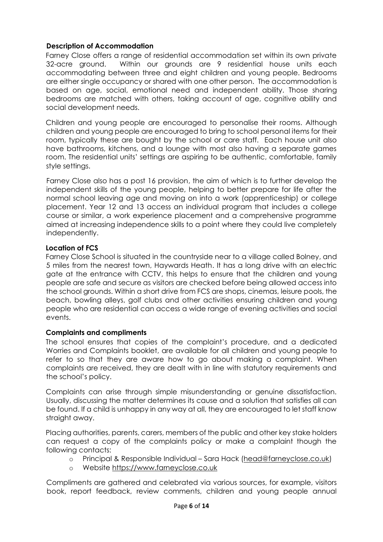### **Description of Accommodation**

Farney Close offers a range of residential accommodation set within its own private 32-acre ground. Within our grounds are 9 residential house units each accommodating between three and eight children and young people. Bedrooms are either single occupancy or shared with one other person. The accommodation is based on age, social, emotional need and independent ability. Those sharing bedrooms are matched with others, taking account of age, cognitive ability and social development needs.

Children and young people are encouraged to personalise their rooms. Although children and young people are encouraged to bring to school personal items for their room, typically these are bought by the school or care staff. Each house unit also have bathrooms, kitchens, and a lounge with most also having a separate games room. The residential units' settings are aspiring to be authentic, comfortable, family style settings.

Farney Close also has a post 16 provision, the aim of which is to further develop the independent skills of the young people, helping to better prepare for life after the normal school leaving age and moving on into a work (apprenticeship) or college placement. Year 12 and 13 access an individual program that includes a college course or similar, a work experience placement and a comprehensive programme aimed at increasing independence skills to a point where they could live completely independently.

#### **Location of FCS**

Farney Close School is situated in the countryside near to a village called Bolney, and 5 miles from the nearest town, Haywards Heath. It has a long drive with an electric gate at the entrance with CCTV, this helps to ensure that the children and young people are safe and secure as visitors are checked before being allowed access into the school grounds. Within a short drive from FCS are shops, cinemas, leisure pools, the beach, bowling alleys, golf clubs and other activities ensuring children and young people who are residential can access a wide range of evening activities and social events.

#### **Complaints and compliments**

The school ensures that copies of the complaint's procedure, and a dedicated Worries and Complaints booklet, are available for all children and young people to refer to so that they are aware how to go about making a complaint. When complaints are received, they are dealt with in line with statutory requirements and the school's policy.

Complaints can arise through simple misunderstanding or genuine dissatisfaction. Usually, discussing the matter determines its cause and a solution that satisfies all can be found. If a child is unhappy in any way at all, they are encouraged to let staff know straight away.

Placing authorities, parents, carers, members of the public and other key stake holders can request a copy of the complaints policy or make a complaint though the following contacts:

- o Principal & Responsible Individual Sara Hack [\(head@farneyclose.co.uk\)](mailto:head@farneyclose.co.uk)
- Website https://www.farneyclose.co.uk

Compliments are gathered and celebrated via various sources, for example, visitors book, report feedback, review comments, children and young people annual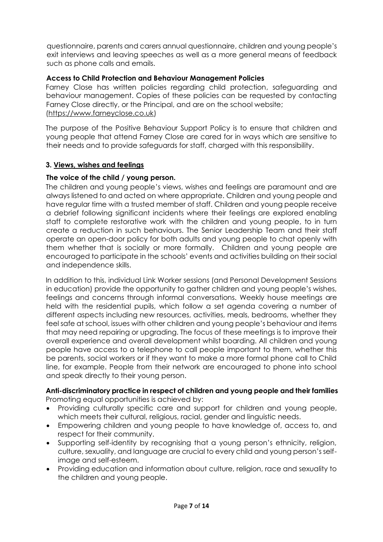questionnaire, parents and carers annual questionnaire, children and young people's exit interviews and leaving speeches as well as a more general means of feedback such as phone calls and emails.

### **Access to Child Protection and Behaviour Management Policies**

Farney Close has written policies regarding child protection, safeguarding and behaviour management. Copies of these policies can be requested by contacting Farney Close directly, or the Principal, and are on the school website; [\(https://www.farneyclose.co.uk\)](https://www.farneyclose.co.uk/)

The purpose of the Positive Behaviour Support Policy is to ensure that children and young people that attend Farney Close are cared for in ways which are sensitive to their needs and to provide safeguards for staff, charged with this responsibility.

#### **3. Views, wishes and feelings**

## **The voice of the child / young person.**

The children and young people's views, wishes and feelings are paramount and are always listened to and acted on where appropriate. Children and young people and have regular time with a trusted member of staff. Children and young people receive a debrief following significant incidents where their feelings are explored enabling staff to complete restorative work with the children and young people, to in turn create a reduction in such behaviours. The Senior Leadership Team and their staff operate an open-door policy for both adults and young people to chat openly with them whether that is socially or more formally. Children and young people are encouraged to participate in the schools' events and activities building on their social and independence skills.

In addition to this, individual Link Worker sessions (and Personal Development Sessions in education) provide the opportunity to gather children and young people's wishes, feelings and concerns through informal conversations. Weekly house meetings are held with the residential pupils, which follow a set agenda covering a number of different aspects including new resources, activities, meals, bedrooms, whether they feel safe at school, issues with other children and young people's behaviour and items that may need repairing or upgrading. The focus of these meetings is to improve their overall experience and overall development whilst boarding. All children and young people have access to a telephone to call people important to them, whether this be parents, social workers or if they want to make a more formal phone call to Child line, for example. People from their network are encouraged to phone into school and speak directly to their young person.

#### **Anti-discriminatory practice in respect of children and young people and their families**  Promoting equal opportunities is achieved by:

- Providing culturally specific care and support for children and young people, which meets their cultural, religious, racial, gender and linguistic needs.
- Empowering children and young people to have knowledge of, access to, and respect for their community.
- Supporting self-identity by recognising that a young person's ethnicity, religion, culture, sexuality, and language are crucial to every child and young person's selfimage and self-esteem.
- Providing education and information about culture, religion, race and sexuality to the children and young people.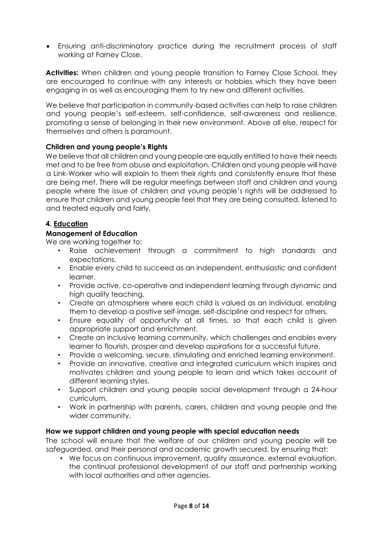• Ensuring anti-discriminatory practice during the recruitment process of staff working at Farney Close.

**Activities:** When children and young people transition to Farney Close School, they are encouraged to continue with any interests or hobbies which they have been engaging in as well as encouraging them to try new and different activities.

We believe that participation in community-based activities can help to raise children and young people's self-esteem, self-confidence, self-awareness and resilience, promoting a sense of belonging in their new environment. Above all else, respect for themselves and others is paramount.

#### **Children and young people's Rights**

We believe that all children and young people are equally entitled to have their needs met and to be free from abuse and exploitation. Children and young people will have a Link-Worker who will explain to them their rights and consistently ensure that these are being met. There will be regular meetings between staff and children and young people where the issue of children and young people's rights will be addressed to ensure that children and young people feel that they are being consulted, listened to and treated equally and fairly.

#### **4. Education**

#### **Management of Education**

We are working together to:

- Raise achievement through a commitment to high standards and expectations.
- Enable every child to succeed as an independent, enthusiastic and confident learner.
- Provide active, co-operative and independent learning through dynamic and high quality teaching.
- Create an atmosphere where each child is valued as an individual, enabling them to develop a positive self-image, self-discipline and respect for others.
- Ensure equality of opportunity at all times, so that each child is given appropriate support and enrichment.
- Create an inclusive learning community, which challenges and enables every learner to flourish, prosper and develop aspirations for a successful future.
- Provide a welcoming, secure, stimulating and enriched learning environment.
- Provide an innovative, creative and integrated curriculum which inspires and motivates children and young people to learn and which takes account of different learning styles.
- Support children and young people social development through a 24-hour curriculum.
- Work in partnership with parents, carers, children and young people and the wider community.

#### **How we support children and young people with special education needs**

The school will ensure that the welfare of our children and young people will be safeguarded, and their personal and academic growth secured, by ensuring that:

• We focus on continuous improvement, quality assurance, external evaluation, the continual professional development of our staff and partnership working with local authorities and other agencies.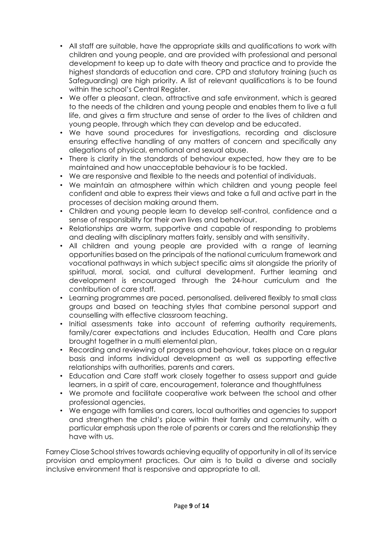- All staff are suitable, have the appropriate skills and qualifications to work with children and young people, and are provided with professional and personal development to keep up to date with theory and practice and to provide the highest standards of education and care. CPD and statutory training (such as Safeguarding) are high priority. A list of relevant qualifications is to be found within the school's Central Reaister.
- We offer a pleasant, clean, attractive and safe environment, which is geared to the needs of the children and young people and enables them to live a full life, and gives a firm structure and sense of order to the lives of children and young people, through which they can develop and be educated.
- We have sound procedures for investigations, recording and disclosure ensuring effective handling of any matters of concern and specifically any allegations of physical, emotional and sexual abuse.
- There is clarity in the standards of behaviour expected, how they are to be maintained and how unacceptable behaviour is to be tackled.
- We are responsive and flexible to the needs and potential of individuals.
- We maintain an atmosphere within which children and young people feel confident and able to express their views and take a full and active part in the processes of decision making around them.
- Children and young people learn to develop self-control, confidence and a sense of responsibility for their own lives and behaviour.
- Relationships are warm, supportive and capable of responding to problems and dealing with disciplinary matters fairly, sensibly and with sensitivity.
- All children and young people are provided with a range of learning opportunities based on the principals of the national curriculum framework and vocational pathways in which subject specific aims sit alongside the priority of spiritual, moral, social, and cultural development. Further learning and development is encouraged through the 24-hour curriculum and the contribution of care staff.
- Learning programmes are paced, personalised, delivered flexibly to small class groups and based on teaching styles that combine personal support and counselling with effective classroom teaching.
- Initial assessments take into account of referring authority requirements, family/carer expectations and includes Education, Health and Care plans brought together in a multi elemental plan,
- Recording and reviewing of progress and behaviour, takes place on a regular basis and informs individual development as well as supporting effective relationships with authorities, parents and carers.
- Education and Care staff work closely together to assess support and guide learners, in a spirit of care, encouragement, tolerance and thoughtfulness
- We promote and facilitate cooperative work between the school and other professional agencies,
- We engage with families and carers, local authorities and agencies to support and strengthen the child's place within their family and community, with a particular emphasis upon the role of parents or carers and the relationship they have with us.

Farney Close School strives towards achieving equality of opportunity in all of its service provision and employment practices. Our aim is to build a diverse and socially inclusive environment that is responsive and appropriate to all.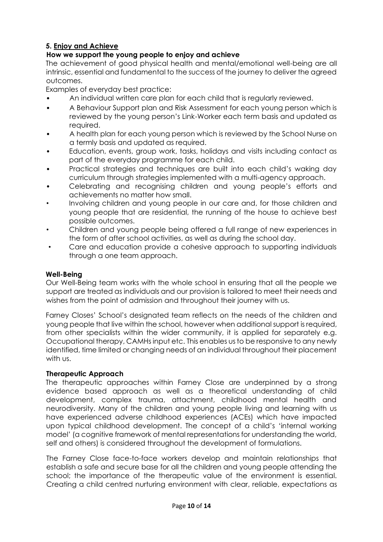# **5. Enjoy and Achieve**

# **How we support the young people to enjoy and achieve**

The achievement of good physical health and mental/emotional well-being are all intrinsic, essential and fundamental to the success of the journey to deliver the agreed outcomes.

Examples of everyday best practice:

- An individual written care plan for each child that is regularly reviewed.
- A Behaviour Support plan and Risk Assessment for each young person which is reviewed by the young person's Link-Worker each term basis and updated as required.
- A health plan for each young person which is reviewed by the School Nurse on a termly basis and updated as required.
- Education, events, group work, tasks, holidays and visits including contact as part of the everyday programme for each child.
- Practical strategies and techniques are built into each child's waking day curriculum through strategies implemented with a multi-agency approach.
- Celebrating and recognising children and young people's efforts and achievements no matter how small.
- Involving children and young people in our care and, for those children and young people that are residential, the running of the house to achieve best possible outcomes.
- Children and young people being offered a full range of new experiences in the form of after school activities, as well as during the school day.
- Care and education provide a cohesive approach to supporting individuals through a one team approach.

#### **Well-Being**

Our Well-Being team works with the whole school in ensuring that all the people we support are treated as individuals and our provision is tailored to meet their needs and wishes from the point of admission and throughout their journey with us.

Farney Closes' School's designated team reflects on the needs of the children and young people that live within the school, however when additional support is required, from other specialists within the wider community, it is applied for separately e.g. Occupational therapy, CAMHs input etc. This enables us to be responsive to any newly identified, time limited or changing needs of an individual throughout their placement with us.

#### **Therapeutic Approach**

The therapeutic approaches within Farney Close are underpinned by a strong evidence based approach as well as a theoretical understanding of child development, complex trauma, attachment, childhood mental health and neurodiversity. Many of the children and young people living and learning with us have experienced adverse childhood experiences (ACEs) which have impacted upon typical childhood development. The concept of a child's 'internal working model' (a cognitive framework of mental representations for understanding the world, self and others) is considered throughout the development of formulations.

The Farney Close face-to-face workers develop and maintain relationships that establish a safe and secure base for all the children and young people attending the school; the importance of the therapeutic value of the environment is essential. Creating a child centred nurturing environment with clear, reliable, expectations as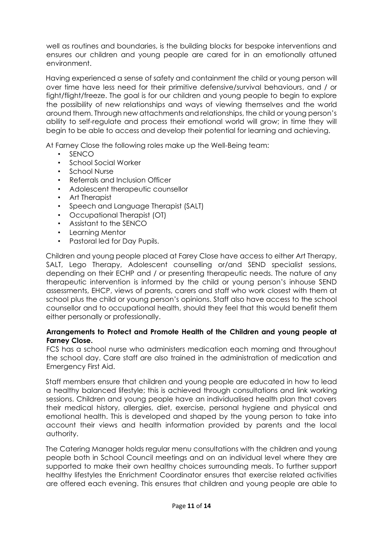well as routines and boundaries, is the building blocks for bespoke interventions and ensures our children and young people are cared for in an emotionally attuned environment.

Having experienced a sense of safety and containment the child or young person will over time have less need for their primitive defensive/survival behaviours, and / or fight/flight/freeze. The goal is for our children and young people to begin to explore the possibility of new relationships and ways of viewing themselves and the world around them. Through new attachments and relationships, the child or young person's ability to self-regulate and process their emotional world will grow; in time they will begin to be able to access and develop their potential for learning and achieving.

At Farney Close the following roles make up the Well-Being team:

- SENCO
- School Social Worker
- School Nurse
- Referrals and Inclusion Officer
- Adolescent therapeutic counsellor
- Art Therapist
- Speech and Language Therapist (SALT)
- Occupational Therapist (OT)
- Assistant to the SENCO
- Learning Mentor
- Pastoral led for Day Pupils.

Children and young people placed at Farey Close have access to either Art Therapy, SALT, Lego Therapy, Adolescent counselling or/and SEND specialist sessions, depending on their ECHP and / or presenting therapeutic needs. The nature of any therapeutic intervention is informed by the child or young person's inhouse SEND assessments, EHCP, views of parents, carers and staff who work closest with them at school plus the child or young person's opinions. Staff also have access to the school counsellor and to occupational health, should they feel that this would benefit them either personally or professionally.

#### **Arrangements to Protect and Promote Health of the Children and young people at Farney Close.**

FCS has a school nurse who administers medication each morning and throughout the school day. Care staff are also trained in the administration of medication and Emergency First Aid.

Staff members ensure that children and young people are educated in how to lead a healthy balanced lifestyle; this is achieved through consultations and link working sessions. Children and young people have an individualised health plan that covers their medical history, allergies, diet, exercise, personal hygiene and physical and emotional health. This is developed and shaped by the young person to take into account their views and health information provided by parents and the local authority.

The Catering Manager holds regular menu consultations with the children and young people both in School Council meetings and on an individual level where they are supported to make their own healthy choices surrounding meals. To further support healthy lifestyles the Enrichment Coordinator ensures that exercise related activities are offered each evening. This ensures that children and young people are able to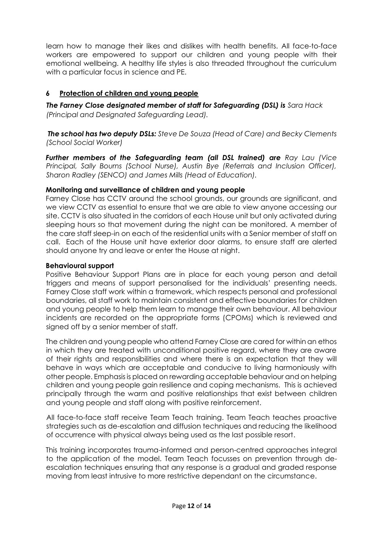learn how to manage their likes and dislikes with health benefits. All face-to-face workers are empowered to support our children and young people with their emotional wellbeing. A healthy life styles is also threaded throughout the curriculum with a particular focus in science and PE.

# **6 Protection of children and young people**

**The Farney Close designated member of staff for Safeguarding (DSL) is** Sara Hack *(Principal and Designated Safeguarding Lead).*

*The school has two deputy DSLs: Steve De Souza (Head of Care) and Becky Clements (School Social Worker)* 

*Further members of the Safeguarding team (all DSL trained) are Ray Lau (Vice Principal, Sally Bourns (School Nurse), Austin Bye (Referrals and Inclusion Officer), Sharon Radley (SENCO) and James Mills (Head of Education).* 

#### **Monitoring and surveillance of children and young people**

Farney Close has CCTV around the school grounds, our grounds are significant, and we view CCTV as essential to ensure that we are able to view anyone accessing our site. CCTV is also situated in the corridors of each House unit but only activated during sleeping hours so that movement during the night can be monitored. A member of the care staff sleep-in on each of the residential units with a Senior member of staff on call. Each of the House unit have exterior door alarms, to ensure staff are alerted should anyone try and leave or enter the House at night.

#### **Behavioural support**

Positive Behaviour Support Plans are in place for each young person and detail triggers and means of support personalised for the individuals' presenting needs. Farney Close staff work within a framework, which respects personal and professional boundaries, all staff work to maintain consistent and effective boundaries for children and young people to help them learn to manage their own behaviour. All behaviour incidents are recorded on the appropriate forms (CPOMs) which is reviewed and signed off by a senior member of staff.

The children and young people who attend Farney Close are cared for within an ethos in which they are treated with unconditional positive regard, where they are aware of their rights and responsibilities and where there is an expectation that they will behave in ways which are acceptable and conducive to living harmoniously with other people. Emphasis is placed on rewarding acceptable behaviour and on helping children and young people gain resilience and coping mechanisms. This is achieved principally through the warm and positive relationships that exist between children and young people and staff along with positive reinforcement.

All face-to-face staff receive Team Teach training. Team Teach teaches proactive strategies such as de-escalation and diffusion techniques and reducing the likelihood of occurrence with physical always being used as the last possible resort.

This training incorporates trauma-informed and person-centred approaches integral to the application of the model. Team Teach focusses on prevention through deescalation techniques ensuring that any response is a gradual and graded response moving from least intrusive to more restrictive dependant on the circumstance.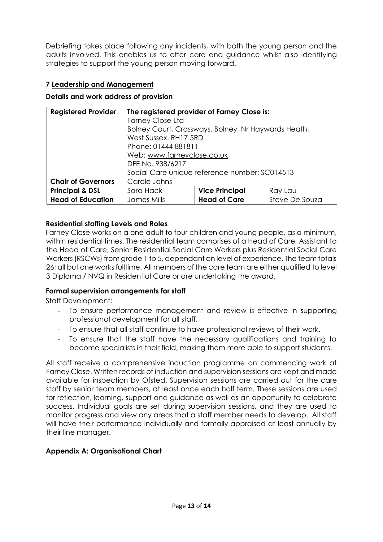Debriefing takes place following any incidents, with both the young person and the adults involved. This enables us to offer care and guidance whilst also identifying strategies to support the young person moving forward.

## **7 Leadership and Management**

#### **Details and work address of provision**

| <b>Registered Provider</b> | The registered provider of Farney Close is:         |                       |                |  |
|----------------------------|-----------------------------------------------------|-----------------------|----------------|--|
|                            | <b>Farney Close Ltd</b>                             |                       |                |  |
|                            | Bolney Court, Crossways, Bolney, Nr Haywards Heath, |                       |                |  |
|                            | West Sussex, RH17 5RD                               |                       |                |  |
|                            | Phone: 01444 881811                                 |                       |                |  |
|                            | Web: www.farneyclose.co.uk                          |                       |                |  |
|                            | DFE No. 938/6217                                    |                       |                |  |
|                            | Social Care unique reference number: SC014513       |                       |                |  |
| <b>Chair of Governors</b>  | Carole Johns                                        |                       |                |  |
| <b>Principal &amp; DSL</b> | Sara Hack                                           | <b>Vice Principal</b> | Ray Lau        |  |
| <b>Head of Education</b>   | James Mills                                         | <b>Head of Care</b>   | Steve De Souza |  |

#### **Residential staffing Levels and Roles**

Farney Close works on a one adult to four children and young people, as a minimum, within residential times. The residential team comprises of a Head of Care, Assistant to the Head of Care, Senior Residential Social Care Workers plus Residential Social Care Workers (RSCWs) from grade 1 to 5, dependant on level of experience. The team totals 26; all but one works fulltime. All members of the care team are either qualified to level 3 Diploma / NVQ in Residential Care or are undertaking the award.

#### **Formal supervision arrangements for staff**

Staff Development:

- To ensure performance management and review is effective in supporting professional development for all staff.
- To ensure that all staff continue to have professional reviews of their work.
- To ensure that the staff have the necessary qualifications and training to become specialists in their field, making them more able to support students.

All staff receive a comprehensive induction programme on commencing work at Farney Close. Written records of induction and supervision sessions are kept and made available for inspection by Ofsted. Supervision sessions are carried out for the care staff by senior team members, at least once each half term. These sessions are used for reflection, learning, support and guidance as well as an opportunity to celebrate success. Individual goals are set during supervision sessions, and they are used to monitor progress and view any areas that a staff member needs to develop. All staff will have their performance individually and formally appraised at least annually by their line manager.

#### **Appendix A: Organisational Chart**